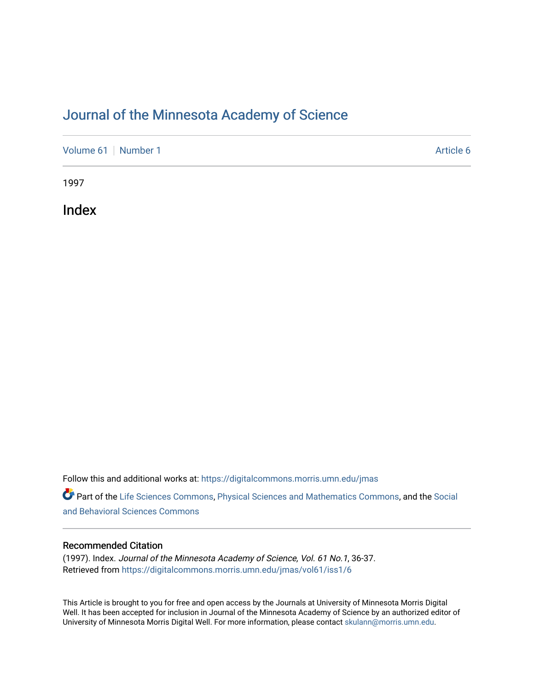## [Journal of the Minnesota Academy of Science](https://digitalcommons.morris.umn.edu/jmas)

[Volume 61](https://digitalcommons.morris.umn.edu/jmas/vol61) [Number 1](https://digitalcommons.morris.umn.edu/jmas/vol61/iss1) Article 6

1997

Index

Follow this and additional works at: [https://digitalcommons.morris.umn.edu/jmas](https://digitalcommons.morris.umn.edu/jmas?utm_source=digitalcommons.morris.umn.edu%2Fjmas%2Fvol61%2Fiss1%2F6&utm_medium=PDF&utm_campaign=PDFCoverPages) 

Part of the [Life Sciences Commons,](https://network.bepress.com/hgg/discipline/1016?utm_source=digitalcommons.morris.umn.edu%2Fjmas%2Fvol61%2Fiss1%2F6&utm_medium=PDF&utm_campaign=PDFCoverPages) [Physical Sciences and Mathematics Commons,](https://network.bepress.com/hgg/discipline/114?utm_source=digitalcommons.morris.umn.edu%2Fjmas%2Fvol61%2Fiss1%2F6&utm_medium=PDF&utm_campaign=PDFCoverPages) and the [Social](https://network.bepress.com/hgg/discipline/316?utm_source=digitalcommons.morris.umn.edu%2Fjmas%2Fvol61%2Fiss1%2F6&utm_medium=PDF&utm_campaign=PDFCoverPages)  [and Behavioral Sciences Commons](https://network.bepress.com/hgg/discipline/316?utm_source=digitalcommons.morris.umn.edu%2Fjmas%2Fvol61%2Fiss1%2F6&utm_medium=PDF&utm_campaign=PDFCoverPages) 

### Recommended Citation

(1997). Index. Journal of the Minnesota Academy of Science, Vol. 61 No.1, 36-37. Retrieved from [https://digitalcommons.morris.umn.edu/jmas/vol61/iss1/6](https://digitalcommons.morris.umn.edu/jmas/vol61/iss1/6?utm_source=digitalcommons.morris.umn.edu%2Fjmas%2Fvol61%2Fiss1%2F6&utm_medium=PDF&utm_campaign=PDFCoverPages)

This Article is brought to you for free and open access by the Journals at University of Minnesota Morris Digital Well. It has been accepted for inclusion in Journal of the Minnesota Academy of Science by an authorized editor of University of Minnesota Morris Digital Well. For more information, please contact [skulann@morris.umn.edu](mailto:skulann@morris.umn.edu).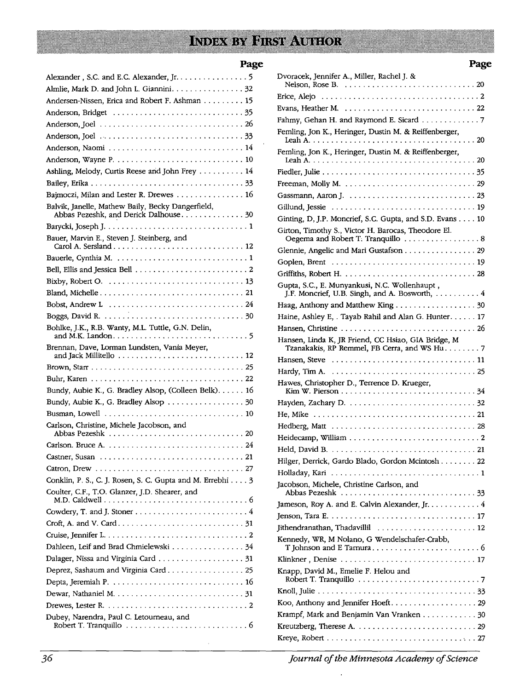# **INDEX BY FIRST AUTHOR**

### **Page**

| Alexander, S.C. and E.C. Alexander, Jr. 5                                                  |  |
|--------------------------------------------------------------------------------------------|--|
| Almlie, Mark D. and John L. Giannini. 32                                                   |  |
| Andersen-Nissen, Erica and Robert F. Ashman 15                                             |  |
|                                                                                            |  |
|                                                                                            |  |
|                                                                                            |  |
| Anderson, Naomi  14                                                                        |  |
|                                                                                            |  |
| Ashling, Melody, Curtis Reese and John Frey 14                                             |  |
|                                                                                            |  |
| Bajmoczi, Milan and Lester R. Drewes 16                                                    |  |
| Balvik, Janelle, Mathew Baily, Becky Dangerfield,<br>Abbas Pezeshk, and Derick Dalhouse 30 |  |
|                                                                                            |  |
| Bauer, Marvin E., Steven J. Steinberg, and                                                 |  |
|                                                                                            |  |
|                                                                                            |  |
|                                                                                            |  |
|                                                                                            |  |
|                                                                                            |  |
|                                                                                            |  |
| Bohlke, J.K., R.B. Wanty, M.L. Tuttle, G.N. Delin,                                         |  |
| Brennan, Dave, Lorman Lundsten, Vania Meyer,                                               |  |
|                                                                                            |  |
|                                                                                            |  |
| Bundy, Aubie K., G. Bradley Alsop, (Colleen Belk). 16                                      |  |
| Bundy, Aubie K., G. Bradley Alsop  30                                                      |  |
|                                                                                            |  |
| Carlson, Christine, Michele Jacobson, and                                                  |  |
|                                                                                            |  |
|                                                                                            |  |
|                                                                                            |  |
|                                                                                            |  |
| Conklin, P. S., C. J. Rosen, S. C. Gupta and M. Errebhi 3                                  |  |
| Coulter, C.F., T.O. Glanzer, J.D. Shearer, and                                             |  |
|                                                                                            |  |
|                                                                                            |  |
|                                                                                            |  |
| Dahleen, Leif and Brad Chmielewski  34                                                     |  |
|                                                                                            |  |
| Deprez, Sashaum and Virginia Card 25                                                       |  |
|                                                                                            |  |
|                                                                                            |  |
|                                                                                            |  |
| Dubey, Narendra, Paul C. Letourneau, and                                                   |  |
|                                                                                            |  |

| Dvoracek, Jennifer A., Miller, Rachel J. &<br>Nelson, Rose B. $\ldots \ldots \ldots \ldots \ldots \ldots \ldots \ldots \ldots 20$ |
|-----------------------------------------------------------------------------------------------------------------------------------|
|                                                                                                                                   |
|                                                                                                                                   |
| Fahmy, Gehan H. and Raymond E. Sicard 7                                                                                           |
| Femling, Jon K., Heringer, Dustin M. & Reiffenberger,<br>. 20                                                                     |
| Femling, Jon K., Heringer, Dustin M. & Reiffenberger,                                                                             |
|                                                                                                                                   |
|                                                                                                                                   |
|                                                                                                                                   |
|                                                                                                                                   |
| Ginting, D, J.P. Moncrief, S.C. Gupta, and S.D. Evans 10                                                                          |
|                                                                                                                                   |
| Girton, Timothy S., Victor H. Barocas, Theodore El.<br>Oegema and Robert T. Tranquillo $\ldots \ldots \ldots \ldots \ldots 8$     |
| Glennie, Angelic and Mari Gustafson 29                                                                                            |
|                                                                                                                                   |
|                                                                                                                                   |
| Gupta, S.C., E. Munyankusi, N.C. Wollenhaupt,<br>J.F. Moncrief, U.B. Singh, and A. Bosworth,  4                                   |
| Haag, Anthony and Matthew King 30                                                                                                 |
| Haine, Ashley E, . Tayab Rahil and Alan G. Hunter. 17                                                                             |
|                                                                                                                                   |
| Hansen, Linda K, JR Friend, CC Hsiao, GIA Bridge, M<br>Tzanakakis, RP Remmel, FB Cerra, and WS Hu. 7                              |
|                                                                                                                                   |
|                                                                                                                                   |
| Hawes, Christopher D., Terrence D. Krueger,                                                                                       |
|                                                                                                                                   |
|                                                                                                                                   |
|                                                                                                                                   |
|                                                                                                                                   |
|                                                                                                                                   |
| Hilger, Derrick, Gardo Blado, Gordon Mcintosh 22                                                                                  |
|                                                                                                                                   |
| Jacobson, Michele, Christine Carlson, and                                                                                         |
| Jameson, Roy A. and E. Calvin Alexander, Jr. 4                                                                                    |
|                                                                                                                                   |
| Jithendranathan, Thadavillil  12                                                                                                  |
|                                                                                                                                   |
| Kennedy, WR, M Nolano, G Wendelschafer-Crabb,                                                                                     |
|                                                                                                                                   |
| Knapp, David M., Emelie F. Helou and                                                                                              |
|                                                                                                                                   |
|                                                                                                                                   |
| Krampf, Mark and Benjamin Van Vranken 30                                                                                          |
|                                                                                                                                   |
|                                                                                                                                   |

**Page** 

*journal of the Minnesota Academy of Science*